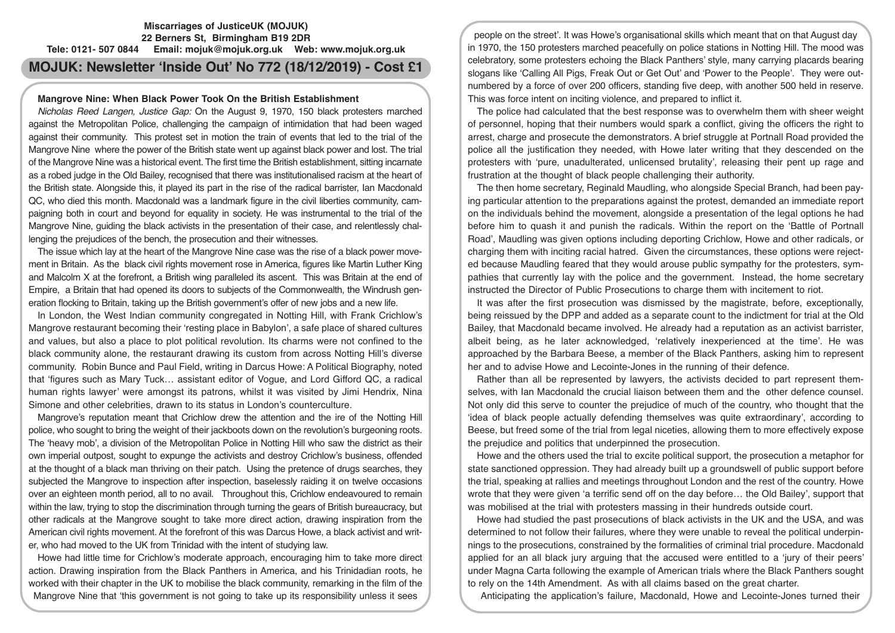# **Miscarriages of JusticeUK (MOJUK) 22 Berners St, Birmingham B19 2DR Tele: 0121- 507 0844 Email: mojuk@mojuk.org.uk Web: www.mojuk.org.uk**

# **MOJUK: Newsletter 'Inside Out' No 772 (18/12/2019) - Cost £1**

# **Mangrove Nine: When Black Power Took On the British Establishment**

Nicholas Reed Langen, Justice Gap: On the August 9, 1970, 150 black protesters marched against the Metropolitan Police, challenging the campaign of intimidation that had been waged against their community. This protest set in motion the train of events that led to the trial of the Mangrove Nine where the power of the British state went up against black power and lost. The trial of the Mangrove Nine was a historical event. The first time the British establishment, sitting incarnate as a robed judge in the Old Bailey, recognised that there was institutionalised racism at the heart of the British state. Alongside this, it played its part in the rise of the radical barrister, Ian Macdonald QC, who died this month. Macdonald was a landmark figure in the civil liberties community, campaigning both in court and beyond for equality in society. He was instrumental to the trial of the Mangrove Nine, guiding the black activists in the presentation of their case, and relentlessly challenging the prejudices of the bench, the prosecution and their witnesses.

The issue which lay at the heart of the Mangrove Nine case was the rise of a black power movement in Britain. As the black civil rights movement rose in America, figures like Martin Luther King and Malcolm X at the forefront, a British wing paralleled its ascent. This was Britain at the end of Empire, a Britain that had opened its doors to subjects of the Commonwealth, the Windrush generation flocking to Britain, taking up the British government's offer of new jobs and a new life.

In London, the West Indian community congregated in Notting Hill, with Frank Crichlow's Mangrove restaurant becoming their 'resting place in Babylon', a safe place of shared cultures and values, but also a place to plot political revolution. Its charms were not confined to the black community alone, the restaurant drawing its custom from across Notting Hill's diverse community. Robin Bunce and Paul Field, writing in Darcus Howe: A Political Biography, noted that 'figures such as Mary Tuck… assistant editor of Vogue, and Lord Gifford QC, a radical human rights lawyer' were amongst its patrons, whilst it was visited by Jimi Hendrix, Nina Simone and other celebrities, drawn to its status in London's counterculture.

Mangrove's reputation meant that Crichlow drew the attention and the ire of the Notting Hill police, who sought to bring the weight of their jackboots down on the revolution's burgeoning roots. The 'heavy mob', a division of the Metropolitan Police in Notting Hill who saw the district as their own imperial outpost, sought to expunge the activists and destroy Crichlow's business, offended at the thought of a black man thriving on their patch. Using the pretence of drugs searches, they subjected the Mangrove to inspection after inspection, baselessly raiding it on twelve occasions over an eighteen month period, all to no avail. Throughout this, Crichlow endeavoured to remain within the law, trying to stop the discrimination through turning the gears of British bureaucracy, but other radicals at the Mangrove sought to take more direct action, drawing inspiration from the American civil rights movement. At the forefront of this was Darcus Howe, a black activist and writer, who had moved to the UK from Trinidad with the intent of studying law.

Howe had little time for Crichlow's moderate approach, encouraging him to take more direct action. Drawing inspiration from the Black Panthers in America, and his Trinidadian roots, he worked with their chapter in the UK to mobilise the black community, remarking in the film of the Mangrove Nine that 'this government is not going to take up its responsibility unless it sees

people on the street'. It was Howe's organisational skills which meant that on that August day in 1970, the 150 protesters marched peacefully on police stations in Notting Hill. The mood was celebratory, some protesters echoing the Black Panthers' style, many carrying placards bearing slogans like 'Calling All Pigs, Freak Out or Get Out' and 'Power to the People'. They were outnumbered by a force of over 200 officers, standing five deep, with another 500 held in reserve. This was force intent on inciting violence, and prepared to inflict it.

The police had calculated that the best response was to overwhelm them with sheer weight of personnel, hoping that their numbers would spark a conflict, giving the officers the right to arrest, charge and prosecute the demonstrators. A brief struggle at Portnall Road provided the police all the justification they needed, with Howe later writing that they descended on the protesters with 'pure, unadulterated, unlicensed brutality', releasing their pent up rage and frustration at the thought of black people challenging their authority.

The then home secretary, Reginald Maudling, who alongside Special Branch, had been paying particular attention to the preparations against the protest, demanded an immediate report on the individuals behind the movement, alongside a presentation of the legal options he had before him to quash it and punish the radicals. Within the report on the 'Battle of Portnall Road', Maudling was given options including deporting Crichlow, Howe and other radicals, or charging them with inciting racial hatred. Given the circumstances, these options were rejected because Maudling feared that they would arouse public sympathy for the protesters, sympathies that currently lay with the police and the government. Instead, the home secretary instructed the Director of Public Prosecutions to charge them with incitement to riot.

It was after the first prosecution was dismissed by the magistrate, before, exceptionally, being reissued by the DPP and added as a separate count to the indictment for trial at the Old Bailey, that Macdonald became involved. He already had a reputation as an activist barrister, albeit being, as he later acknowledged, 'relatively inexperienced at the time'. He was approached by the Barbara Beese, a member of the Black Panthers, asking him to represent her and to advise Howe and Lecointe-Jones in the running of their defence.

Rather than all be represented by lawyers, the activists decided to part represent themselves, with Ian Macdonald the crucial liaison between them and the other defence counsel. Not only did this serve to counter the prejudice of much of the country, who thought that the 'idea of black people actually defending themselves was quite extraordinary', according to Beese, but freed some of the trial from legal niceties, allowing them to more effectively expose the prejudice and politics that underpinned the prosecution.

Howe and the others used the trial to excite political support, the prosecution a metaphor for state sanctioned oppression. They had already built up a groundswell of public support before the trial, speaking at rallies and meetings throughout London and the rest of the country. Howe wrote that they were given 'a terrific send off on the day before… the Old Bailey', support that was mobilised at the trial with protesters massing in their hundreds outside court.

Howe had studied the past prosecutions of black activists in the UK and the USA, and was determined to not follow their failures, where they were unable to reveal the political underpinnings to the prosecutions, constrained by the formalities of criminal trial procedure. Macdonald applied for an all black jury arguing that the accused were entitled to a 'jury of their peers' under Magna Carta following the example of American trials where the Black Panthers sought to rely on the 14th Amendment. As with all claims based on the great charter.

Anticipating the application's failure, Macdonald, Howe and Lecointe-Jones turned their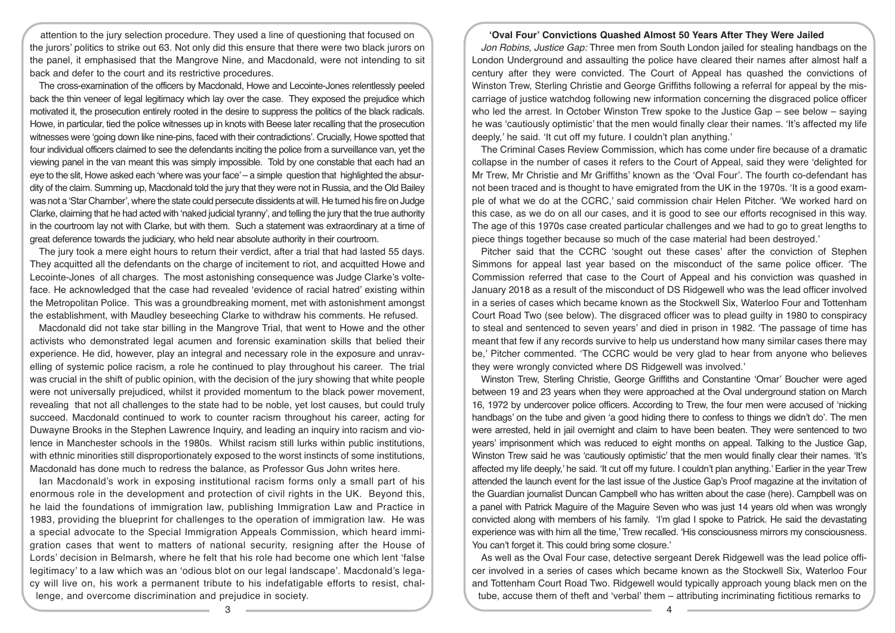attention to the jury selection procedure. They used a line of questioning that focused on the jurors' politics to strike out 63. Not only did this ensure that there were two black jurors on the panel, it emphasised that the Mangrove Nine, and Macdonald, were not intending to sit back and defer to the court and its restrictive procedures.

The cross-examination of the officers by Macdonald, Howe and Lecointe-Jones relentlessly peeled back the thin veneer of legal legitimacy which lay over the case. They exposed the prejudice which motivated it, the prosecution entirely rooted in the desire to suppress the politics of the black radicals. Howe, in particular, tied the police witnesses up in knots with Beese later recalling that the prosecution witnesses were 'going down like nine-pins, faced with their contradictions'. Crucially, Howe spotted that four individual officers claimed to see the defendants inciting the police from a surveillance van, yet the viewing panel in the van meant this was simply impossible. Told by one constable that each had an eye to the slit, Howe asked each 'where was your face' – a simple question that highlighted the absurdity of the claim. Summing up, Macdonald told the jury that they were not in Russia, and the Old Bailey was not a 'Star Chamber', where the state could persecute dissidents at will. He turned his fire on Judge Clarke, claiming that he had acted with 'naked judicial tyranny', and telling the jury that the true authority in the courtroom lay not with Clarke, but with them. Such a statement was extraordinary at a time of great deference towards the judiciary, who held near absolute authority in their courtroom.

The jury took a mere eight hours to return their verdict, after a trial that had lasted 55 days. They acquitted all the defendants on the charge of incitement to riot, and acquitted Howe and Lecointe-Jones of all charges. The most astonishing consequence was Judge Clarke's volteface. He acknowledged that the case had revealed 'evidence of racial hatred' existing within the Metropolitan Police. This was a groundbreaking moment, met with astonishment amongst the establishment, with Maudley beseeching Clarke to withdraw his comments. He refused.

Macdonald did not take star billing in the Mangrove Trial, that went to Howe and the other activists who demonstrated legal acumen and forensic examination skills that belied their experience. He did, however, play an integral and necessary role in the exposure and unravelling of systemic police racism, a role he continued to play throughout his career. The trial was crucial in the shift of public opinion, with the decision of the jury showing that white people were not universally prejudiced, whilst it provided momentum to the black power movement, revealing that not all challenges to the state had to be noble, yet lost causes, but could truly succeed. Macdonald continued to work to counter racism throughout his career, acting for Duwayne Brooks in the Stephen Lawrence Inquiry, and leading an inquiry into racism and violence in Manchester schools in the 1980s. Whilst racism still lurks within public institutions, with ethnic minorities still disproportionately exposed to the worst instincts of some institutions, Macdonald has done much to redress the balance, as Professor Gus John writes here.

Ian Macdonald's work in exposing institutional racism forms only a small part of his enormous role in the development and protection of civil rights in the UK. Beyond this, he laid the foundations of immigration law, publishing Immigration Law and Practice in 1983, providing the blueprint for challenges to the operation of immigration law. He was a special advocate to the Special Immigration Appeals Commission, which heard immigration cases that went to matters of national security, resigning after the House of Lords' decision in Belmarsh, where he felt that his role had become one which lent 'false legitimacy' to a law which was an 'odious blot on our legal landscape'. Macdonald's legacy will live on, his work a permanent tribute to his indefatigable efforts to resist, challenge, and overcome discrimination and prejudice in society.

#### **'Oval Four' Convictions Quashed Almost 50 Years After They Were Jailed**

Jon Robins, Justice Gap: Three men from South London jailed for stealing handbags on the London Underground and assaulting the police have cleared their names after almost half a century after they were convicted. The Court of Appeal has quashed the convictions of Winston Trew, Sterling Christie and George Griffiths following a referral for appeal by the miscarriage of justice watchdog following new information concerning the disgraced police officer who led the arrest. In October Winston Trew spoke to the Justice Gap – see below – saying he was 'cautiously optimistic' that the men would finally clear their names. 'It's affected my life deeply,' he said. 'It cut off my future. I couldn't plan anything.'

The Criminal Cases Review Commission, which has come under fire because of a dramatic collapse in the number of cases it refers to the Court of Appeal, said they were 'delighted for Mr Trew, Mr Christie and Mr Griffiths' known as the 'Oval Four'. The fourth co-defendant has not been traced and is thought to have emigrated from the UK in the 1970s. 'It is a good example of what we do at the CCRC,' said commission chair Helen Pitcher. 'We worked hard on this case, as we do on all our cases, and it is good to see our efforts recognised in this way. The age of this 1970s case created particular challenges and we had to go to great lengths to piece things together because so much of the case material had been destroyed.'

Pitcher said that the CCRC 'sought out these cases' after the conviction of Stephen Simmons for appeal last year based on the misconduct of the same police officer. 'The Commission referred that case to the Court of Appeal and his conviction was quashed in January 2018 as a result of the misconduct of DS Ridgewell who was the lead officer involved in a series of cases which became known as the Stockwell Six, Waterloo Four and Tottenham Court Road Two (see below). The disgraced officer was to plead guilty in 1980 to conspiracy to steal and sentenced to seven years' and died in prison in 1982. 'The passage of time has meant that few if any records survive to help us understand how many similar cases there may be,' Pitcher commented. 'The CCRC would be very glad to hear from anyone who believes they were wrongly convicted where DS Ridgewell was involved.'

Winston Trew, Sterling Christie, George Griffiths and Constantine 'Omar' Boucher were aged between 19 and 23 years when they were approached at the Oval underground station on March 16, 1972 by undercover police officers. According to Trew, the four men were accused of 'nicking handbags' on the tube and given 'a good hiding there to confess to things we didn't do'. The men were arrested, held in jail overnight and claim to have been beaten. They were sentenced to two years' imprisonment which was reduced to eight months on appeal. Talking to the Justice Gap, Winston Trew said he was 'cautiously optimistic' that the men would finally clear their names. 'It's affected my life deeply,' he said. 'It cut off my future. I couldn't plan anything.' Earlier in the year Trew attended the launch event for the last issue of the Justice Gap's Proof magazine at the invitation of the Guardian journalist Duncan Campbell who has written about the case (here). Campbell was on a panel with Patrick Maguire of the Maguire Seven who was just 14 years old when was wrongly convicted along with members of his family. 'I'm glad I spoke to Patrick. He said the devastating experience was with him all the time,' Trew recalled. 'His consciousness mirrors my consciousness. You can't forget it. This could bring some closure.'

As well as the Oval Four case, detective sergeant Derek Ridgewell was the lead police officer involved in a series of cases which became known as the Stockwell Six, Waterloo Four and Tottenham Court Road Two. Ridgewell would typically approach young black men on the tube, accuse them of theft and 'verbal' them – attributing incriminating fictitious remarks to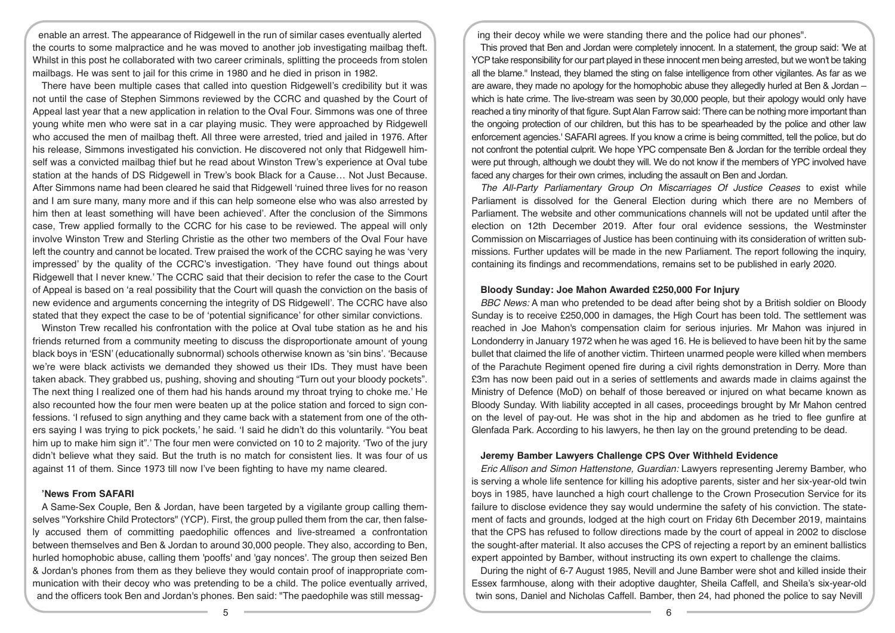enable an arrest. The appearance of Ridgewell in the run of similar cases eventually alerted the courts to some malpractice and he was moved to another job investigating mailbag theft. Whilst in this post he collaborated with two career criminals, splitting the proceeds from stolen mailbags. He was sent to jail for this crime in 1980 and he died in prison in 1982.

There have been multiple cases that called into question Ridgewell's credibility but it was not until the case of Stephen Simmons reviewed by the CCRC and quashed by the Court of Appeal last year that a new application in relation to the Oval Four. Simmons was one of three young white men who were sat in a car playing music. They were approached by Ridgewell who accused the men of mailbag theft. All three were arrested, tried and jailed in 1976. After his release, Simmons investigated his conviction. He discovered not only that Ridgewell himself was a convicted mailbag thief but he read about Winston Trew's experience at Oval tube station at the hands of DS Ridgewell in Trew's book Black for a Cause… Not Just Because. After Simmons name had been cleared he said that Ridgewell 'ruined three lives for no reason and I am sure many, many more and if this can help someone else who was also arrested by him then at least something will have been achieved'. After the conclusion of the Simmons case, Trew applied formally to the CCRC for his case to be reviewed. The appeal will only involve Winston Trew and Sterling Christie as the other two members of the Oval Four have left the country and cannot be located. Trew praised the work of the CCRC saying he was 'very impressed' by the quality of the CCRC's investigation. 'They have found out things about Ridgewell that I never knew.' The CCRC said that their decision to refer the case to the Court of Appeal is based on 'a real possibility that the Court will quash the conviction on the basis of new evidence and arguments concerning the integrity of DS Ridgewell'. The CCRC have also stated that they expect the case to be of 'potential significance' for other similar convictions.

Winston Trew recalled his confrontation with the police at Oval tube station as he and his friends returned from a community meeting to discuss the disproportionate amount of young black boys in 'ESN' (educationally subnormal) schools otherwise known as 'sin bins'. 'Because we're were black activists we demanded they showed us their IDs. They must have been taken aback. They grabbed us, pushing, shoving and shouting "Turn out your bloody pockets". The next thing I realized one of them had his hands around my throat trying to choke me.' He also recounted how the four men were beaten up at the police station and forced to sign confessions. 'I refused to sign anything and they came back with a statement from one of the others saying I was trying to pick pockets,' he said. 'I said he didn't do this voluntarily. "You beat him up to make him sign it".' The four men were convicted on 10 to 2 majority. 'Two of the jury didn't believe what they said. But the truth is no match for consistent lies. It was four of us against 11 of them. Since 1973 till now I've been fighting to have my name cleared.

# **'News From SAFARI**

A Same-Sex Couple, Ben & Jordan, have been targeted by a vigilante group calling themselves "Yorkshire Child Protectors" (YCP). First, the group pulled them from the car, then falsely accused them of committing paedophilic offences and live-streamed a confrontation between themselves and Ben & Jordan to around 30,000 people. They also, according to Ben, hurled homophobic abuse, calling them 'pooffs' and 'gay nonces'. The group then seized Ben & Jordan's phones from them as they believe they would contain proof of inappropriate communication with their decoy who was pretending to be a child. The police eventually arrived, and the officers took Ben and Jordan's phones. Ben said: "The paedophile was still messaging their decoy while we were standing there and the police had our phones".

This proved that Ben and Jordan were completely innocent. In a statement, the group said: 'We at YCP take responsibility for our part played in these innocent men being arrested, but we won't be taking all the blame." Instead, they blamed the sting on false intelligence from other vigilantes. As far as we are aware, they made no apology for the homophobic abuse they allegedly hurled at Ben & Jordan – which is hate crime. The live-stream was seen by 30,000 people, but their apology would only have reached a tiny minority of that figure. Supt Alan Farrow said: 'There can be nothing more important than the ongoing protection of our children, but this has to be spearheaded by the police and other law enforcement agencies.' SAFARI agrees. If you know a crime is being committed, tell the police, but do not confront the potential culprit. We hope YPC compensate Ben & Jordan for the terrible ordeal they were put through, although we doubt they will. We do not know if the members of YPC involved have faced any charges for their own crimes, including the assault on Ben and Jordan.

The All-Party Parliamentary Group On Miscarriages Of Justice Ceases to exist while Parliament is dissolved for the General Election during which there are no Members of Parliament. The website and other communications channels will not be updated until after the election on 12th December 2019. After four oral evidence sessions, the Westminster Commission on Miscarriages of Justice has been continuing with its consideration of written submissions. Further updates will be made in the new Parliament. The report following the inquiry, containing its findings and recommendations, remains set to be published in early 2020.

# **Bloody Sunday: Joe Mahon Awarded £250,000 For Injury**

BBC News: A man who pretended to be dead after being shot by a British soldier on Bloody Sunday is to receive £250,000 in damages, the High Court has been told. The settlement was reached in Joe Mahon's compensation claim for serious injuries. Mr Mahon was injured in Londonderry in January 1972 when he was aged 16. He is believed to have been hit by the same bullet that claimed the life of another victim. Thirteen unarmed people were killed when members of the Parachute Regiment opened fire during a civil rights demonstration in Derry. More than £3m has now been paid out in a series of settlements and awards made in claims against the Ministry of Defence (MoD) on behalf of those bereaved or injured on what became known as Bloody Sunday. With liability accepted in all cases, proceedings brought by Mr Mahon centred on the level of pay-out. He was shot in the hip and abdomen as he tried to flee gunfire at Glenfada Park. According to his lawyers, he then lay on the ground pretending to be dead.

#### **Jeremy Bamber Lawyers Challenge CPS Over Withheld Evidence**

Eric Allison and Simon Hattenstone, Guardian: Lawyers representing Jeremy Bamber, who is serving a whole life sentence for killing his adoptive parents, sister and her six-year-old twin boys in 1985, have launched a high court challenge to the Crown Prosecution Service for its failure to disclose evidence they say would undermine the safety of his conviction. The statement of facts and grounds, lodged at the high court on Friday 6th December 2019, maintains that the CPS has refused to follow directions made by the court of appeal in 2002 to disclose the sought-after material. It also accuses the CPS of rejecting a report by an eminent ballistics expert appointed by Bamber, without instructing its own expert to challenge the claims.

During the night of 6-7 August 1985, Nevill and June Bamber were shot and killed inside their Essex farmhouse, along with their adoptive daughter, Sheila Caffell, and Sheila's six-year-old twin sons, Daniel and Nicholas Caffell. Bamber, then 24, had phoned the police to say Nevill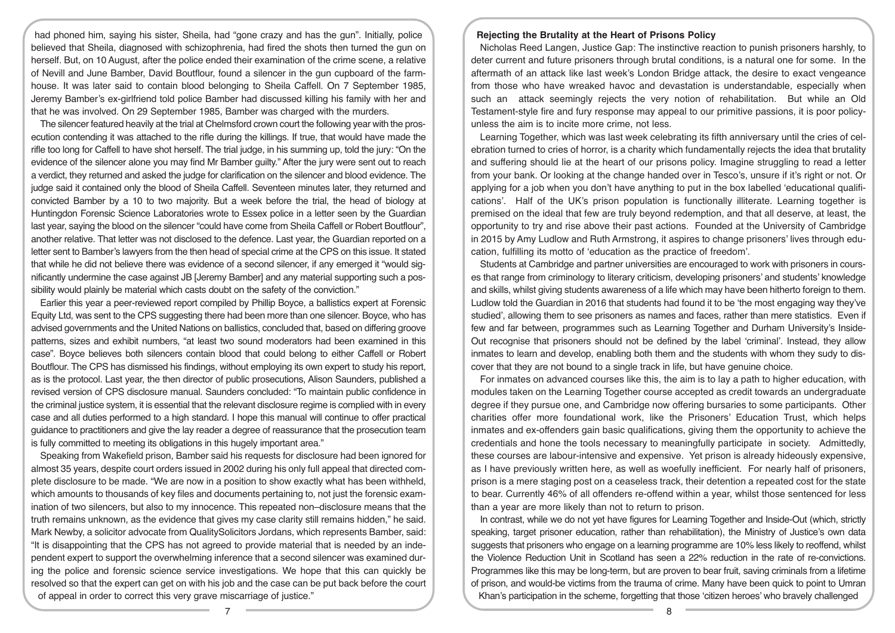had phoned him, saying his sister, Sheila, had "gone crazy and has the gun". Initially, police believed that Sheila, diagnosed with schizophrenia, had fired the shots then turned the gun on herself. But, on 10 August, after the police ended their examination of the crime scene, a relative of Nevill and June Bamber, David Boutflour, found a silencer in the gun cupboard of the farmhouse. It was later said to contain blood belonging to Sheila Caffell. On 7 September 1985, Jeremy Bamber's ex-girlfriend told police Bamber had discussed killing his family with her and that he was involved. On 29 September 1985, Bamber was charged with the murders.

The silencer featured heavily at the trial at Chelmsford crown court the following year with the prosecution contending it was attached to the rifle during the killings. If true, that would have made the rifle too long for Caffell to have shot herself. The trial judge, in his summing up, told the jury: "On the evidence of the silencer alone you may find Mr Bamber guilty." After the jury were sent out to reach a verdict, they returned and asked the judge for clarification on the silencer and blood evidence. The judge said it contained only the blood of Sheila Caffell. Seventeen minutes later, they returned and convicted Bamber by a 10 to two majority. But a week before the trial, the head of biology at Huntingdon Forensic Science Laboratories wrote to Essex police in a letter seen by the Guardian last year, saying the blood on the silencer "could have come from Sheila Caffell or Robert Boutflour", another relative. That letter was not disclosed to the defence. Last year, the Guardian reported on a letter sent to Bamber's lawyers from the then head of special crime at the CPS on this issue. It stated that while he did not believe there was evidence of a second silencer, if any emerged it "would significantly undermine the case against JB [Jeremy Bamber] and any material supporting such a possibility would plainly be material which casts doubt on the safety of the conviction."

Earlier this year a peer-reviewed report compiled by Phillip Boyce, a ballistics expert at Forensic Equity Ltd, was sent to the CPS suggesting there had been more than one silencer. Boyce, who has advised governments and the United Nations on ballistics, concluded that, based on differing groove patterns, sizes and exhibit numbers, "at least two sound moderators had been examined in this case". Boyce believes both silencers contain blood that could belong to either Caffell or Robert Boutflour. The CPS has dismissed his findings, without employing its own expert to study his report, as is the protocol. Last year, the then director of public prosecutions, Alison Saunders, published a revised version of CPS disclosure manual. Saunders concluded: "To maintain public confidence in the criminal justice system, it is essential that the relevant disclosure regime is complied with in every case and all duties performed to a high standard. I hope this manual will continue to offer practical guidance to practitioners and give the lay reader a degree of reassurance that the prosecution team is fully committed to meeting its obligations in this hugely important area."

Speaking from Wakefield prison, Bamber said his requests for disclosure had been ignored for almost 35 years, despite court orders issued in 2002 during his only full appeal that directed complete disclosure to be made. "We are now in a position to show exactly what has been withheld, which amounts to thousands of key files and documents pertaining to, not just the forensic examination of two silencers, but also to my innocence. This repeated non–disclosure means that the truth remains unknown, as the evidence that gives my case clarity still remains hidden," he said. Mark Newby, a solicitor advocate from QualitySolicitors Jordans, which represents Bamber, said: "It is disappointing that the CPS has not agreed to provide material that is needed by an independent expert to support the overwhelming inference that a second silencer was examined during the police and forensic science service investigations. We hope that this can quickly be resolved so that the expert can get on with his job and the case can be put back before the court of appeal in order to correct this very grave miscarriage of justice."

## **Rejecting the Brutality at the Heart of Prisons Policy**

Nicholas Reed Langen, Justice Gap: The instinctive reaction to punish prisoners harshly, to deter current and future prisoners through brutal conditions, is a natural one for some. In the aftermath of an attack like last week's London Bridge attack, the desire to exact vengeance from those who have wreaked havoc and devastation is understandable, especially when such an attack seemingly rejects the very notion of rehabilitation. But while an Old Testament-style fire and fury response may appeal to our primitive passions, it is poor policyunless the aim is to incite more crime, not less.

Learning Together, which was last week celebrating its fifth anniversary until the cries of celebration turned to cries of horror, is a charity which fundamentally rejects the idea that brutality and suffering should lie at the heart of our prisons policy. Imagine struggling to read a letter from your bank. Or looking at the change handed over in Tesco's, unsure if it's right or not. Or applying for a job when you don't have anything to put in the box labelled 'educational qualifications'. Half of the UK's prison population is functionally illiterate. Learning together is premised on the ideal that few are truly beyond redemption, and that all deserve, at least, the opportunity to try and rise above their past actions. Founded at the University of Cambridge in 2015 by Amy Ludlow and Ruth Armstrong, it aspires to change prisoners' lives through education, fulfilling its motto of 'education as the practice of freedom'.

Students at Cambridge and partner universities are encouraged to work with prisoners in courses that range from criminology to literary criticism, developing prisoners' and students' knowledge and skills, whilst giving students awareness of a life which may have been hitherto foreign to them. Ludlow told the Guardian in 2016 that students had found it to be 'the most engaging way they've studied', allowing them to see prisoners as names and faces, rather than mere statistics. Even if few and far between, programmes such as Learning Together and Durham University's Inside-Out recognise that prisoners should not be defined by the label 'criminal'. Instead, they allow inmates to learn and develop, enabling both them and the students with whom they sudy to discover that they are not bound to a single track in life, but have genuine choice.

For inmates on advanced courses like this, the aim is to lay a path to higher education, with modules taken on the Learning Together course accepted as credit towards an undergraduate degree if they pursue one, and Cambridge now offering bursaries to some participants. Other charities offer more foundational work, like the Prisoners' Education Trust, which helps inmates and ex-offenders gain basic qualifications, giving them the opportunity to achieve the credentials and hone the tools necessary to meaningfully participate in society. Admittedly, these courses are labour-intensive and expensive. Yet prison is already hideously expensive, as I have previously written here, as well as woefully inefficient. For nearly half of prisoners, prison is a mere staging post on a ceaseless track, their detention a repeated cost for the state to bear. Currently 46% of all offenders re-offend within a year, whilst those sentenced for less than a year are more likely than not to return to prison.

In contrast, while we do not yet have figures for Learning Together and Inside-Out (which, strictly speaking, target prisoner education, rather than rehabilitation), the Ministry of Justice's own data suggests that prisoners who engage on a learning programme are 10% less likely to reoffend, whilst the Violence Reduction Unit in Scotland has seen a 22% reduction in the rate of re-convictions. Programmes like this may be long-term, but are proven to bear fruit, saving criminals from a lifetime of prison, and would-be victims from the trauma of crime. Many have been quick to point to Umran Khan's participation in the scheme, forgetting that those 'citizen heroes' who bravely challenged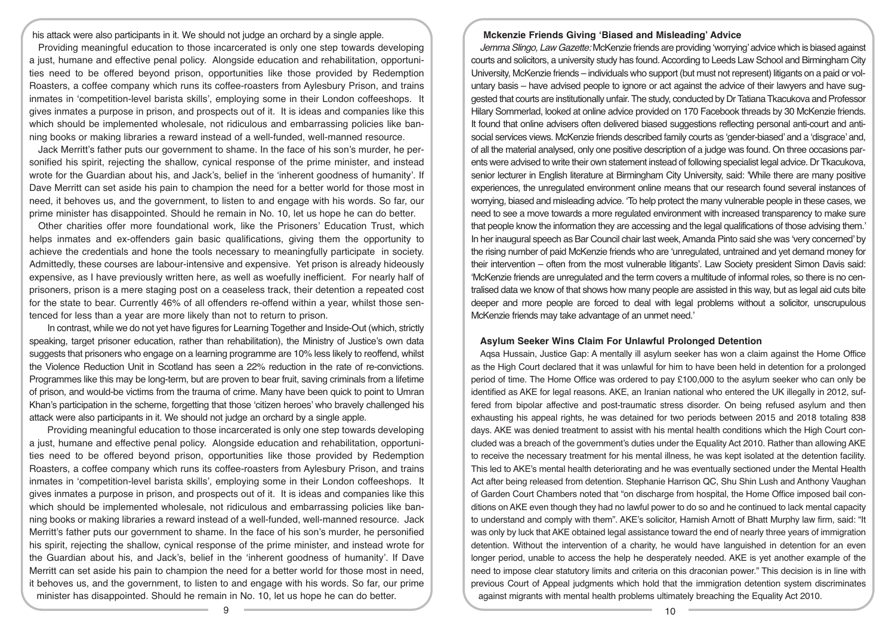his attack were also participants in it. We should not judge an orchard by a single apple.

Providing meaningful education to those incarcerated is only one step towards developing a just, humane and effective penal policy. Alongside education and rehabilitation, opportunities need to be offered beyond prison, opportunities like those provided by Redemption Roasters, a coffee company which runs its coffee-roasters from Aylesbury Prison, and trains inmates in 'competition-level barista skills', employing some in their London coffeeshops. It gives inmates a purpose in prison, and prospects out of it. It is ideas and companies like this which should be implemented wholesale, not ridiculous and embarrassing policies like banning books or making libraries a reward instead of a well-funded, well-manned resource.

Jack Merritt's father puts our government to shame. In the face of his son's murder, he personified his spirit, rejecting the shallow, cynical response of the prime minister, and instead wrote for the Guardian about his, and Jack's, belief in the 'inherent goodness of humanity'. If Dave Merritt can set aside his pain to champion the need for a better world for those most in need, it behoves us, and the government, to listen to and engage with his words. So far, our prime minister has disappointed. Should he remain in No. 10, let us hope he can do better.

Other charities offer more foundational work, like the Prisoners' Education Trust, which helps inmates and ex-offenders gain basic qualifications, giving them the opportunity to achieve the credentials and hone the tools necessary to meaningfully participate in society. Admittedly, these courses are labour-intensive and expensive. Yet prison is already hideously expensive, as I have previously written here, as well as woefully inefficient. For nearly half of prisoners, prison is a mere staging post on a ceaseless track, their detention a repeated cost for the state to bear. Currently 46% of all offenders re-offend within a year, whilst those sentenced for less than a year are more likely than not to return to prison.

In contrast, while we do not yet have figures for Learning Together and Inside-Out (which, strictly speaking, target prisoner education, rather than rehabilitation), the Ministry of Justice's own data suggests that prisoners who engage on a learning programme are 10% less likely to reoffend, whilst the Violence Reduction Unit in Scotland has seen a 22% reduction in the rate of re-convictions. Programmes like this may be long-term, but are proven to bear fruit, saving criminals from a lifetime of prison, and would-be victims from the trauma of crime. Many have been quick to point to Umran Khan's participation in the scheme, forgetting that those 'citizen heroes' who bravely challenged his attack were also participants in it. We should not judge an orchard by a single apple.

Providing meaningful education to those incarcerated is only one step towards developing a just, humane and effective penal policy. Alongside education and rehabilitation, opportunities need to be offered beyond prison, opportunities like those provided by Redemption Roasters, a coffee company which runs its coffee-roasters from Aylesbury Prison, and trains inmates in 'competition-level barista skills', employing some in their London coffeeshops. It gives inmates a purpose in prison, and prospects out of it. It is ideas and companies like this which should be implemented wholesale, not ridiculous and embarrassing policies like banning books or making libraries a reward instead of a well-funded, well-manned resource. Jack Merritt's father puts our government to shame. In the face of his son's murder, he personified his spirit, rejecting the shallow, cynical response of the prime minister, and instead wrote for the Guardian about his, and Jack's, belief in the 'inherent goodness of humanity'. If Dave Merritt can set aside his pain to champion the need for a better world for those most in need, it behoves us, and the government, to listen to and engage with his words. So far, our prime minister has disappointed. Should he remain in No. 10, let us hope he can do better.

## **Mckenzie Friends Giving 'Biased and Misleading' Advice**

Jemma Slingo, Law Gazette: McKenzie friends are providing 'worrying' advice which is biased against courts and solicitors, a university study has found. According to Leeds Law School and Birmingham City University, McKenzie friends – individuals who support (but must not represent) litigants on a paid or voluntary basis – have advised people to ignore or act against the advice of their lawyers and have suggested that courts are institutionally unfair. The study, conducted by Dr Tatiana Tkacukova and Professor Hilary Sommerlad, looked at online advice provided on 170 Facebook threads by 30 McKenzie friends. It found that online advisers often delivered biased suggestions reflecting personal anti-court and antisocial services views. McKenzie friends described family courts as 'gender-biased' and a 'disgrace' and, of all the material analysed, only one positive description of a judge was found. On three occasions parents were advised to write their own statement instead of following specialist legal advice. Dr Tkacukova, senior lecturer in English literature at Birmingham City University, said: 'While there are many positive experiences, the unregulated environment online means that our research found several instances of worrying, biased and misleading advice. 'To help protect the many vulnerable people in these cases, we need to see a move towards a more regulated environment with increased transparency to make sure that people know the information they are accessing and the legal qualifications of those advising them.' In her inaugural speech as Bar Council chair last week, Amanda Pinto said she was 'very concerned' by the rising number of paid McKenzie friends who are 'unregulated, untrained and yet demand money for their intervention – often from the most vulnerable litigants'. Law Society president Simon Davis said: 'McKenzie friends are unregulated and the term covers a multitude of informal roles, so there is no centralised data we know of that shows how many people are assisted in this way, but as legal aid cuts bite deeper and more people are forced to deal with legal problems without a solicitor, unscrupulous McKenzie friends may take advantage of an unmet need.'

## **Asylum Seeker Wins Claim For Unlawful Prolonged Detention**

Aqsa Hussain, Justice Gap: A mentally ill asylum seeker has won a claim against the Home Office as the High Court declared that it was unlawful for him to have been held in detention for a prolonged period of time. The Home Office was ordered to pay £100,000 to the asylum seeker who can only be identified as AKE for legal reasons. AKE, an Iranian national who entered the UK illegally in 2012, suffered from bipolar affective and post-traumatic stress disorder. On being refused asylum and then exhausting his appeal rights, he was detained for two periods between 2015 and 2018 totaling 838 days. AKE was denied treatment to assist with his mental health conditions which the High Court concluded was a breach of the government's duties under the Equality Act 2010. Rather than allowing AKE to receive the necessary treatment for his mental illness, he was kept isolated at the detention facility. This led to AKE's mental health deteriorating and he was eventually sectioned under the Mental Health Act after being released from detention. Stephanie Harrison QC, Shu Shin Lush and Anthony Vaughan of Garden Court Chambers noted that "on discharge from hospital, the Home Office imposed bail conditions on AKE even though they had no lawful power to do so and he continued to lack mental capacity to understand and comply with them". AKE's solicitor, Hamish Arnott of Bhatt Murphy law firm, said: "It was only by luck that AKE obtained legal assistance toward the end of nearly three years of immigration detention. Without the intervention of a charity, he would have languished in detention for an even longer period, unable to access the help he desperately needed. AKE is yet another example of the need to impose clear statutory limits and criteria on this draconian power." This decision is in line with previous Court of Appeal judgments which hold that the immigration detention system discriminates against migrants with mental health problems ultimately breaching the Equality Act 2010.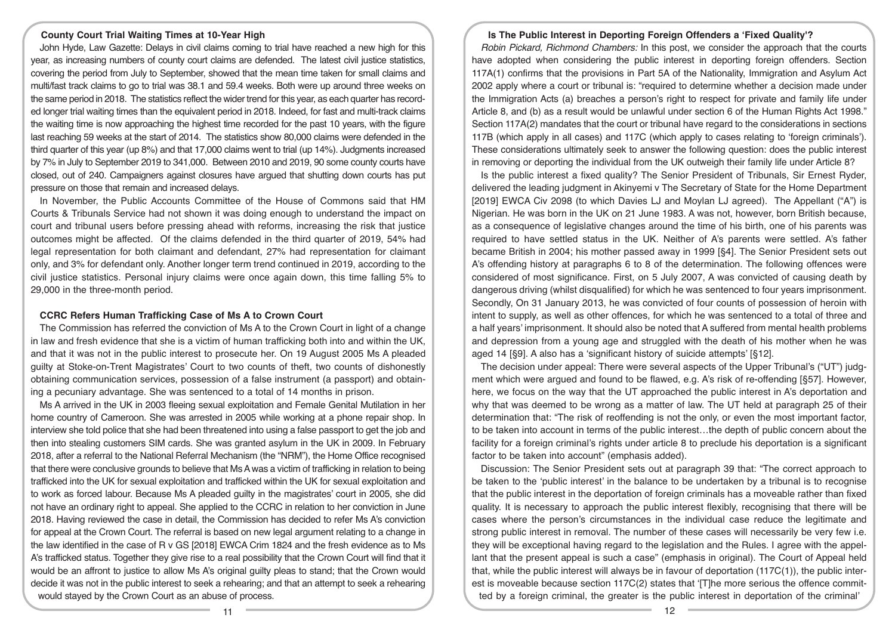## **County Court Trial Waiting Times at 10-Year High**

John Hyde, Law Gazette: Delays in civil claims coming to trial have reached a new high for this year, as increasing numbers of county court claims are defended. The latest civil justice statistics, covering the period from July to September, showed that the mean time taken for small claims and multi/fast track claims to go to trial was 38.1 and 59.4 weeks. Both were up around three weeks on the same period in 2018. The statistics reflect the wider trend for this year, as each quarter has recorded longer trial waiting times than the equivalent period in 2018. Indeed, for fast and multi-track claims the waiting time is now approaching the highest time recorded for the past 10 years, with the figure last reaching 59 weeks at the start of 2014. The statistics show 80,000 claims were defended in the third quarter of this year (up 8%) and that 17,000 claims went to trial (up 14%). Judgments increased by 7% in July to September 2019 to 341,000. Between 2010 and 2019, 90 some county courts have closed, out of 240. Campaigners against closures have argued that shutting down courts has put pressure on those that remain and increased delays.

In November, the Public Accounts Committee of the House of Commons said that HM Courts & Tribunals Service had not shown it was doing enough to understand the impact on court and tribunal users before pressing ahead with reforms, increasing the risk that justice outcomes might be affected. Of the claims defended in the third quarter of 2019, 54% had legal representation for both claimant and defendant, 27% had representation for claimant only, and 3% for defendant only. Another longer term trend continued in 2019, according to the civil justice statistics. Personal injury claims were once again down, this time falling 5% to 29,000 in the three-month period.

## **CCRC Refers Human Trafficking Case of Ms A to Crown Court**

The Commission has referred the conviction of Ms A to the Crown Court in light of a change in law and fresh evidence that she is a victim of human trafficking both into and within the UK, and that it was not in the public interest to prosecute her. On 19 August 2005 Ms A pleaded guilty at Stoke-on-Trent Magistrates' Court to two counts of theft, two counts of dishonestly obtaining communication services, possession of a false instrument (a passport) and obtaining a pecuniary advantage. She was sentenced to a total of 14 months in prison.

Ms A arrived in the UK in 2003 fleeing sexual exploitation and Female Genital Mutilation in her home country of Cameroon. She was arrested in 2005 while working at a phone repair shop. In interview she told police that she had been threatened into using a false passport to get the job and then into stealing customers SIM cards. She was granted asylum in the UK in 2009. In February 2018, after a referral to the National Referral Mechanism (the "NRM"), the Home Office recognised that there were conclusive grounds to believe that Ms A was a victim of trafficking in relation to being trafficked into the UK for sexual exploitation and trafficked within the UK for sexual exploitation and to work as forced labour. Because Ms A pleaded guilty in the magistrates' court in 2005, she did not have an ordinary right to appeal. She applied to the CCRC in relation to her conviction in June 2018. Having reviewed the case in detail, the Commission has decided to refer Ms A's conviction for appeal at the Crown Court. The referral is based on new legal argument relating to a change in the law identified in the case of R v GS [2018] EWCA Crim 1824 and the fresh evidence as to Ms A's trafficked status. Together they give rise to a real possibility that the Crown Court will find that it would be an affront to justice to allow Ms A's original quilty pleas to stand; that the Crown would decide it was not in the public interest to seek a rehearing; and that an attempt to seek a rehearing would stayed by the Crown Court as an abuse of process.

## **Is The Public Interest in Deporting Foreign Offenders a 'Fixed Quality'?**

Robin Pickard, Richmond Chambers: In this post, we consider the approach that the courts have adopted when considering the public interest in deporting foreign offenders. Section 117A(1) confirms that the provisions in Part 5A of the Nationality, Immigration and Asylum Act 2002 apply where a court or tribunal is: "required to determine whether a decision made under the Immigration Acts (a) breaches a person's right to respect for private and family life under Article 8, and (b) as a result would be unlawful under section 6 of the Human Rights Act 1998." Section 117A(2) mandates that the court or tribunal have regard to the considerations in sections 117B (which apply in all cases) and 117C (which apply to cases relating to 'foreign criminals'). These considerations ultimately seek to answer the following question: does the public interest in removing or deporting the individual from the UK outweigh their family life under Article 8?

Is the public interest a fixed quality? The Senior President of Tribunals, Sir Ernest Ryder, delivered the leading judgment in Akinyemi v The Secretary of State for the Home Department [2019] EWCA Civ 2098 (to which Davies LJ and Moylan LJ agreed). The Appellant ("A") is Nigerian. He was born in the UK on 21 June 1983. A was not, however, born British because, as a consequence of legislative changes around the time of his birth, one of his parents was required to have settled status in the UK. Neither of A's parents were settled. A's father became British in 2004; his mother passed away in 1999 [§4]. The Senior President sets out A's offending history at paragraphs 6 to 8 of the determination. The following offences were considered of most significance. First, on 5 July 2007, A was convicted of causing death by dangerous driving (whilst disqualified) for which he was sentenced to four years imprisonment. Secondly, On 31 January 2013, he was convicted of four counts of possession of heroin with intent to supply, as well as other offences, for which he was sentenced to a total of three and a half years' imprisonment. It should also be noted that A suffered from mental health problems and depression from a young age and struggled with the death of his mother when he was aged 14 [§9]. A also has a 'significant history of suicide attempts' [§12].

The decision under appeal: There were several aspects of the Upper Tribunal's ("UT") judgment which were argued and found to be flawed, e.g. A's risk of re-offending [§57]. However, here, we focus on the way that the UT approached the public interest in A's deportation and why that was deemed to be wrong as a matter of law. The UT held at paragraph 25 of their determination that: "The risk of reoffending is not the only, or even the most important factor, to be taken into account in terms of the public interest…the depth of public concern about the facility for a foreign criminal's rights under article 8 to preclude his deportation is a significant factor to be taken into account" (emphasis added).

Discussion: The Senior President sets out at paragraph 39 that: "The correct approach to be taken to the 'public interest' in the balance to be undertaken by a tribunal is to recognise that the public interest in the deportation of foreign criminals has a moveable rather than fixed quality. It is necessary to approach the public interest flexibly, recognising that there will be cases where the person's circumstances in the individual case reduce the legitimate and strong public interest in removal. The number of these cases will necessarily be very few i.e. they will be exceptional having regard to the legislation and the Rules. I agree with the appellant that the present appeal is such a case" (emphasis in original). The Court of Appeal held that, while the public interest will always be in favour of deportation (117C(1)), the public interest is moveable because section 117C(2) states that '[T]he more serious the offence committed by a foreign criminal, the greater is the public interest in deportation of the criminal'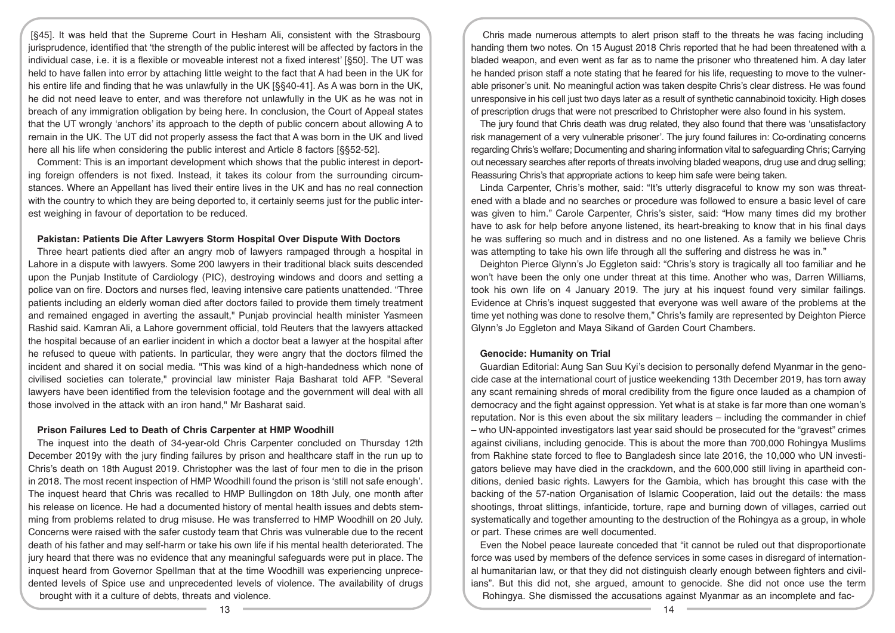[§45]. It was held that the Supreme Court in Hesham Ali, consistent with the Strasbourg jurisprudence, identified that 'the strength of the public interest will be affected by factors in the individual case, i.e. it is a flexible or moveable interest not a fixed interest' [§50]. The UT was held to have fallen into error by attaching little weight to the fact that A had been in the UK for his entire life and finding that he was unlawfully in the UK [§§40-41]. As A was born in the UK, he did not need leave to enter, and was therefore not unlawfully in the UK as he was not in breach of any immigration obligation by being here. In conclusion, the Court of Appeal states that the UT wrongly 'anchors' its approach to the depth of public concern about allowing A to remain in the UK. The UT did not properly assess the fact that A was born in the UK and lived here all his life when considering the public interest and Article 8 factors [§§52-52].

Comment: This is an important development which shows that the public interest in deporting foreign offenders is not fixed. Instead, it takes its colour from the surrounding circumstances. Where an Appellant has lived their entire lives in the UK and has no real connection with the country to which they are being deported to, it certainly seems just for the public interest weighing in favour of deportation to be reduced.

#### **Pakistan: Patients Die After Lawyers Storm Hospital Over Dispute With Doctors**

Three heart patients died after an angry mob of lawyers rampaged through a hospital in Lahore in a dispute with lawyers. Some 200 lawyers in their traditional black suits descended upon the Punjab Institute of Cardiology (PIC), destroying windows and doors and setting a police van on fire. Doctors and nurses fled, leaving intensive care patients unattended. "Three patients including an elderly woman died after doctors failed to provide them timely treatment and remained engaged in averting the assault," Punjab provincial health minister Yasmeen Rashid said. Kamran Ali, a Lahore government official, told Reuters that the lawyers attacked the hospital because of an earlier incident in which a doctor beat a lawyer at the hospital after he refused to queue with patients. In particular, they were angry that the doctors filmed the incident and shared it on social media. "This was kind of a high-handedness which none of civilised societies can tolerate," provincial law minister Raja Basharat told AFP. "Several lawyers have been identified from the television footage and the government will deal with all those involved in the attack with an iron hand," Mr Basharat said.

#### **Prison Failures Led to Death of Chris Carpenter at HMP Woodhill**

The inquest into the death of 34-year-old Chris Carpenter concluded on Thursday 12th December 2019y with the jury finding failures by prison and healthcare staff in the run up to Chris's death on 18th August 2019. Christopher was the last of four men to die in the prison in 2018. The most recent inspection of HMP Woodhill found the prison is 'still not safe enough'. The inquest heard that Chris was recalled to HMP Bullingdon on 18th July, one month after his release on licence. He had a documented history of mental health issues and debts stemming from problems related to drug misuse. He was transferred to HMP Woodhill on 20 July. Concerns were raised with the safer custody team that Chris was vulnerable due to the recent death of his father and may self-harm or take his own life if his mental health deteriorated. The jury heard that there was no evidence that any meaningful safeguards were put in place. The inquest heard from Governor Spellman that at the time Woodhill was experiencing unprecedented levels of Spice use and unprecedented levels of violence. The availability of drugs brought with it a culture of debts, threats and violence.

Chris made numerous attempts to alert prison staff to the threats he was facing including handing them two notes. On 15 August 2018 Chris reported that he had been threatened with a bladed weapon, and even went as far as to name the prisoner who threatened him. A day later he handed prison staff a note stating that he feared for his life, requesting to move to the vulnerable prisoner's unit. No meaningful action was taken despite Chris's clear distress. He was found unresponsive in his cell just two days later as a result of synthetic cannabinoid toxicity. High doses of prescription drugs that were not prescribed to Christopher were also found in his system.

The jury found that Chris death was drug related, they also found that there was 'unsatisfactory risk management of a very vulnerable prisoner'. The jury found failures in: Co-ordinating concerns regarding Chris's welfare; Documenting and sharing information vital to safeguarding Chris; Carrying out necessary searches after reports of threats involving bladed weapons, drug use and drug selling; Reassuring Chris's that appropriate actions to keep him safe were being taken.

Linda Carpenter, Chris's mother, said: "It's utterly disgraceful to know my son was threatened with a blade and no searches or procedure was followed to ensure a basic level of care was given to him." Carole Carpenter, Chris's sister, said: "How many times did my brother have to ask for help before anyone listened, its heart-breaking to know that in his final days he was suffering so much and in distress and no one listened. As a family we believe Chris was attempting to take his own life through all the suffering and distress he was in."

Deighton Pierce Glynn's Jo Eggleton said: "Chris's story is tragically all too familiar and he won't have been the only one under threat at this time. Another who was, Darren Williams, took his own life on 4 January 2019. The jury at his inquest found very similar failings. Evidence at Chris's inquest suggested that everyone was well aware of the problems at the time yet nothing was done to resolve them," Chris's family are represented by Deighton Pierce Glynn's Jo Eggleton and Maya Sikand of Garden Court Chambers.

# **Genocide: Humanity on Trial**

Guardian Editorial: Aung San Suu Kyi's decision to personally defend Myanmar in the genocide case at the international court of justice weekending 13th December 2019, has torn away any scant remaining shreds of moral credibility from the figure once lauded as a champion of democracy and the fight against oppression. Yet what is at stake is far more than one woman's reputation. Nor is this even about the six military leaders – including the commander in chief – who UN-appointed investigators last year said should be prosecuted for the "gravest" crimes against civilians, including genocide. This is about the more than 700,000 Rohingya Muslims from Rakhine state forced to flee to Bangladesh since late 2016, the 10,000 who UN investigators believe may have died in the crackdown, and the 600,000 still living in apartheid conditions, denied basic rights. Lawyers for the Gambia, which has brought this case with the backing of the 57-nation Organisation of Islamic Cooperation, laid out the details: the mass shootings, throat slittings, infanticide, torture, rape and burning down of villages, carried out systematically and together amounting to the destruction of the Rohingya as a group, in whole or part. These crimes are well documented.

Even the Nobel peace laureate conceded that "it cannot be ruled out that disproportionate force was used by members of the defence services in some cases in disregard of international humanitarian law, or that they did not distinguish clearly enough between fighters and civilians". But this did not, she argued, amount to genocide. She did not once use the term Rohingya. She dismissed the accusations against Myanmar as an incomplete and fac-